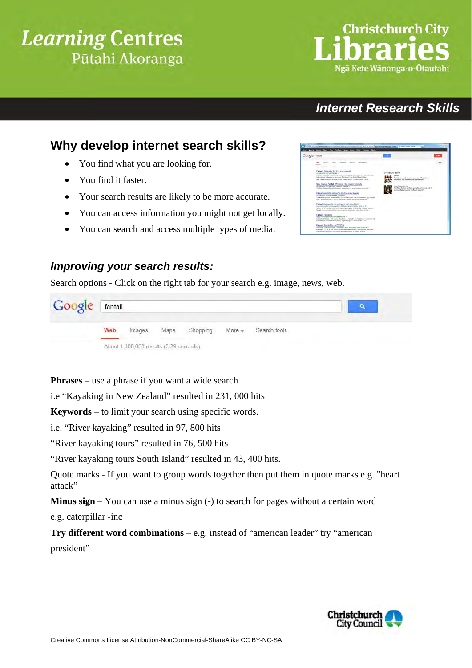## **Learning Centres** Pūtahi Akoranga

# *Internet Research Skills*

### **Why develop internet search skills?**

- You find what you are looking for.
- You find it faster.
- Your search results are likely to be more accurate.
- You can access information you might not get locally.
- You can search and access multiple types of media.

#### *Improving your search results:*

Search options - Click on the right tab for your search e.g. image, news, web.

| Google fantail |                                        |        |      |          |          |              |  |
|----------------|----------------------------------------|--------|------|----------|----------|--------------|--|
|                | Web                                    | Images | Maps | Shopping | $More -$ | Search tools |  |
|                | About 1,300,000 results (0.29 seconds) |        |      |          |          |              |  |

**Phrases** – use a phrase if you want a wide search

i.e "Kayaking in New Zealand" resulted in 231, 000 hits

**Keywords** – to limit your search using specific words.

i.e. "River kayaking" resulted in 97, 800 hits

"River kayaking tours" resulted in 76, 500 hits

"River kayaking tours South Island" resulted in 43, 400 hits.

Quote marks - If you want to group words together then put them in quote marks e.g. "heart attack"

**Minus sign** – You can use a minus sign (-) to search for pages without a certain word

e.g. caterpillar -inc

**Try different word combinations** – e.g. instead of "american leader" try "american president"





# **Christchurch City** Ngã Kete Wānanga-o-Ōtautahi